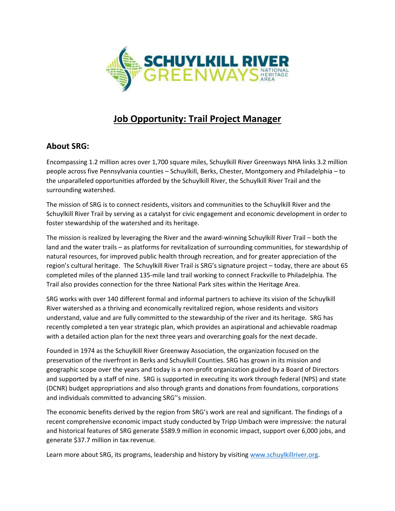

# **Job Opportunity: Trail Project Manager**

# **About SRG:**

Encompassing 1.2 million acres over 1,700 square miles, Schuylkill River Greenways NHA links 3.2 million people across five Pennsylvania counties – Schuylkill, Berks, Chester, Montgomery and Philadelphia – to the unparalleled opportunities afforded by the Schuylkill River, the Schuylkill River Trail and the surrounding watershed.

The mission of SRG is to connect residents, visitors and communities to the Schuylkill River and the Schuylkill River Trail by serving as a catalyst for civic engagement and economic development in order to foster stewardship of the watershed and its heritage.

The mission is realized by leveraging the River and the award-winning Schuylkill River Trail – both the land and the water trails – as platforms for revitalization of surrounding communities, for stewardship of natural resources, for improved public health through recreation, and for greater appreciation of the region's cultural heritage. The Schuylkill River Trail is SRG's signature project – today, there are about 65 completed miles of the planned 135-mile land trail working to connect Frackville to Philadelphia. The Trail also provides connection for the three National Park sites within the Heritage Area.

SRG works with over 140 different formal and informal partners to achieve its vision of the Schuylkill River watershed as a thriving and economically revitalized region, whose residents and visitors understand, value and are fully committed to the stewardship of the river and its heritage. SRG has recently completed a ten year strategic plan, which provides an aspirational and achievable roadmap with a detailed action plan for the next three years and overarching goals for the next decade.

Founded in 1974 as the Schuylkill River Greenway Association, the organization focused on the preservation of the riverfront in Berks and Schuylkill Counties. SRG has grown in its mission and geographic scope over the years and today is a non-profit organization guided by a Board of Directors and supported by a staff of nine. SRG is supported in executing its work through federal (NPS) and state (DCNR) budget appropriations and also through grants and donations from foundations, corporations and individuals committed to advancing SRG''s mission.

The economic benefits derived by the region from SRG's work are real and significant. The findings of a recent comprehensive economic impact study conducted by Tripp Umbach were impressive: the natural and historical features of SRG generate \$589.9 million in economic impact, support over 6,000 jobs, and generate \$37.7 million in tax revenue.

Learn more about SRG, its programs, leadership and history by visiting [www.schuylkillriver.org.](http://www.schuylkillriver.org/)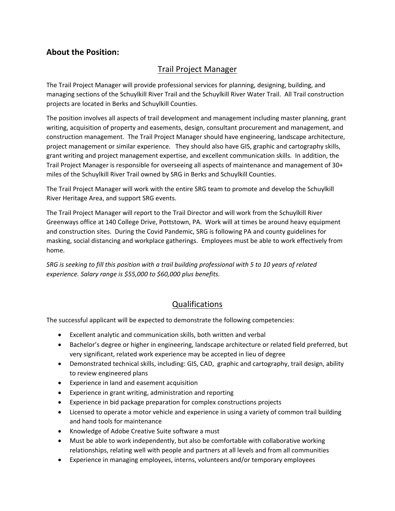# **About the Position:**

# Trail Project Manager

The Trail Project Manager will provide professional services for planning, designing, building, and managing sections of the Schuylkill River Trail and the Schuylkill River Water Trail. All Trail construction projects are located in Berks and Schuylkill Counties.

The position involves all aspects of trail development and management including master planning, grant writing, acquisition of property and easements, design, consultant procurement and management, and construction management. The Trail Project Manager should have engineering, landscape architecture, project management or similar experience. They should also have GIS, graphic and cartography skills, grant writing and project management expertise, and excellent communication skills. In addition, the Trail Project Manager is responsible for overseeing all aspects of maintenance and management of 30+ miles of the Schuylkill River Trail owned by SRG in Berks and Schuylkill Counties.

The Trail Project Manager will work with the entire SRG team to promote and develop the Schuylkill River Heritage Area, and support SRG events.

The Trail Project Manager will report to the Trail Director and will work from the Schuylkill River Greenways office at 140 College Drive, Pottstown, PA. Work will at times be around heavy equipment and construction sites. During the Covid Pandemic, SRG is following PA and county guidelines for masking, social distancing and workplace gatherings. Employees must be able to work effectively from home.

*SRG is seeking to fill this position with a trail building professional with 5 to 10 years of related experience. Salary range is \$55,000 to \$60,000 plus benefits.*

### Qualifications

The successful applicant will be expected to demonstrate the following competencies:

- Excellent analytic and communication skills, both written and verbal
- Bachelor's degree or higher in engineering, landscape architecture or related field preferred, but very significant, related work experience may be accepted in lieu of degree
- Demonstrated technical skills, including: GIS, CAD, graphic and cartography, trail design, ability to review engineered plans
- Experience in land and easement acquisition
- Experience in grant writing, administration and reporting
- Experience in bid package preparation for complex constructions projects
- Licensed to operate a motor vehicle and experience in using a variety of common trail building and hand tools for maintenance
- Knowledge of Adobe Creative Suite software a must
- Must be able to work independently, but also be comfortable with collaborative working relationships, relating well with people and partners at all levels and from all communities
- Experience in managing employees, interns, volunteers and/or temporary employees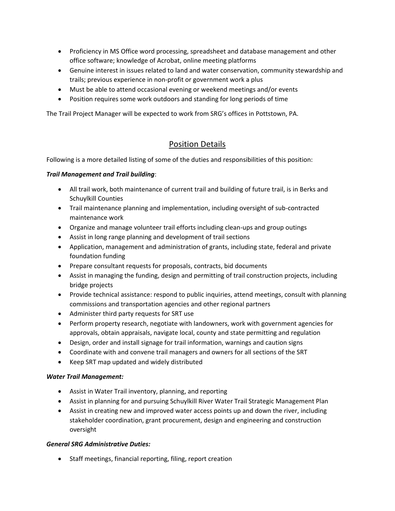- Proficiency in MS Office word processing, spreadsheet and database management and other office software; knowledge of Acrobat, online meeting platforms
- Genuine interest in issues related to land and water conservation, community stewardship and trails; previous experience in non-profit or government work a plus
- Must be able to attend occasional evening or weekend meetings and/or events
- Position requires some work outdoors and standing for long periods of time

The Trail Project Manager will be expected to work from SRG's offices in Pottstown, PA.

### Position Details

Following is a more detailed listing of some of the duties and responsibilities of this position:

#### *Trail Management and Trail building*:

- All trail work, both maintenance of current trail and building of future trail, is in Berks and Schuylkill Counties
- Trail maintenance planning and implementation, including oversight of sub-contracted maintenance work
- Organize and manage volunteer trail efforts including clean-ups and group outings
- Assist in long range planning and development of trail sections
- Application, management and administration of grants, including state, federal and private foundation funding
- Prepare consultant requests for proposals, contracts, bid documents
- Assist in managing the funding, design and permitting of trail construction projects, including bridge projects
- Provide technical assistance: respond to public inquiries, attend meetings, consult with planning commissions and transportation agencies and other regional partners
- Administer third party requests for SRT use
- Perform property research, negotiate with landowners, work with government agencies for approvals, obtain appraisals, navigate local, county and state permitting and regulation
- Design, order and install signage for trail information, warnings and caution signs
- Coordinate with and convene trail managers and owners for all sections of the SRT
- Keep SRT map updated and widely distributed

#### *Water Trail Management:*

- Assist in Water Trail inventory, planning, and reporting
- Assist in planning for and pursuing Schuylkill River Water Trail Strategic Management Plan
- Assist in creating new and improved water access points up and down the river, including stakeholder coordination, grant procurement, design and engineering and construction oversight

#### *General SRG Administrative Duties:*

• Staff meetings, financial reporting, filing, report creation